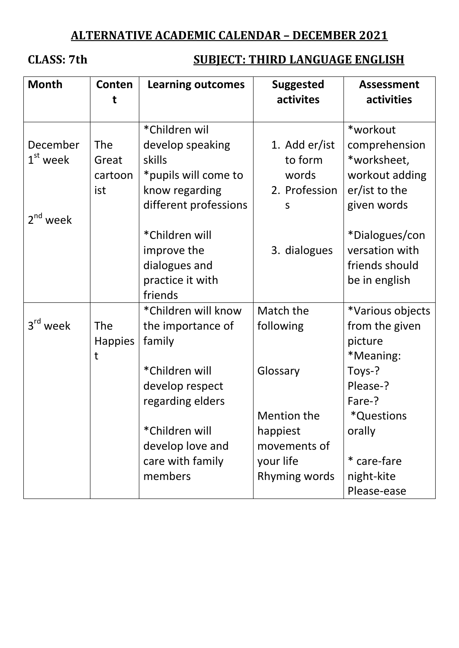# **ALTERNATIVE ACADEMIC CALENDAR – DECEMBER 2021**

# **CLASS: 7th SUBJECT: THIRD LANGUAGE ENGLISH**

| <b>Month</b>         | Conten<br>t    | <b>Learning outcomes</b> | <b>Suggested</b><br>activites | <b>Assessment</b><br>activities |
|----------------------|----------------|--------------------------|-------------------------------|---------------------------------|
|                      |                |                          |                               |                                 |
|                      |                | *Children wil            |                               | *workout                        |
| December             | <b>The</b>     | develop speaking         | 1. Add er/ist                 | comprehension                   |
| $1st$ week           | Great          | skills                   | to form                       | *worksheet,                     |
|                      | cartoon        | *pupils will come to     | words                         | workout adding                  |
|                      | ist            | know regarding           | 2. Profession                 | er/ist to the                   |
|                      |                | different professions    | S                             | given words                     |
| $2nd$ week           |                |                          |                               |                                 |
|                      |                | *Children will           |                               | *Dialogues/con                  |
|                      |                | improve the              | 3. dialogues                  | versation with                  |
|                      |                | dialogues and            |                               | friends should                  |
|                      |                | practice it with         |                               | be in english                   |
|                      |                | friends                  |                               |                                 |
|                      |                | *Children will know      | Match the                     | *Various objects                |
| 3 <sup>rd</sup> week | <b>The</b>     | the importance of        | following                     | from the given                  |
|                      | <b>Happies</b> | family                   |                               | picture                         |
|                      | t              |                          |                               | *Meaning:                       |
|                      |                | *Children will           | Glossary                      | Toys-?                          |
|                      |                | develop respect          |                               | Please-?                        |
|                      |                | regarding elders         |                               | Fare-?                          |
|                      |                |                          | Mention the                   | <i>*</i> Questions              |
|                      |                | *Children will           | happiest                      | orally                          |
|                      |                | develop love and         | movements of                  |                                 |
|                      |                | care with family         | your life                     | * care-fare                     |
|                      |                | members                  | Rhyming words                 | night-kite                      |
|                      |                |                          |                               | Please-ease                     |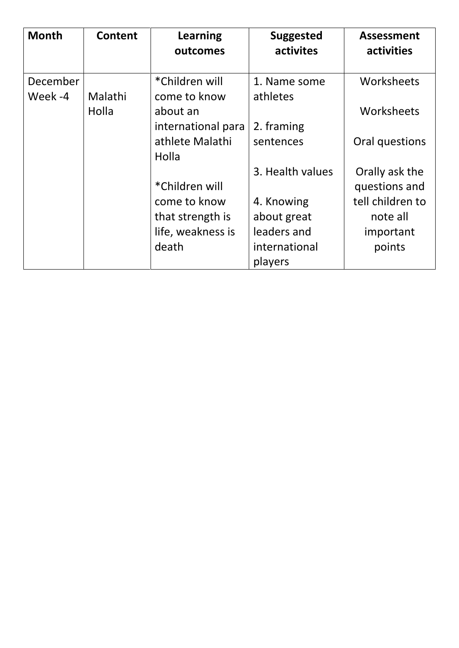| <b>Month</b>        | <b>Content</b> | Learning<br>outcomes           | <b>Suggested</b><br>activites | <b>Assessment</b><br>activities |
|---------------------|----------------|--------------------------------|-------------------------------|---------------------------------|
| December<br>Week -4 | Malathi        | *Children will<br>come to know | 1. Name some<br>athletes      | Worksheets                      |
|                     | Holla          | about an<br>international para | 2. framing                    | Worksheets                      |
|                     |                | athlete Malathi<br>Holla       | sentences                     | Oral questions                  |
|                     |                | *Children will                 | 3. Health values              | Orally ask the<br>questions and |
|                     |                | come to know                   | 4. Knowing                    | tell children to                |
|                     |                | that strength is               | about great                   | note all                        |
|                     |                | life, weakness is              | leaders and                   | important                       |
|                     |                | death                          | international                 | points                          |
|                     |                |                                | players                       |                                 |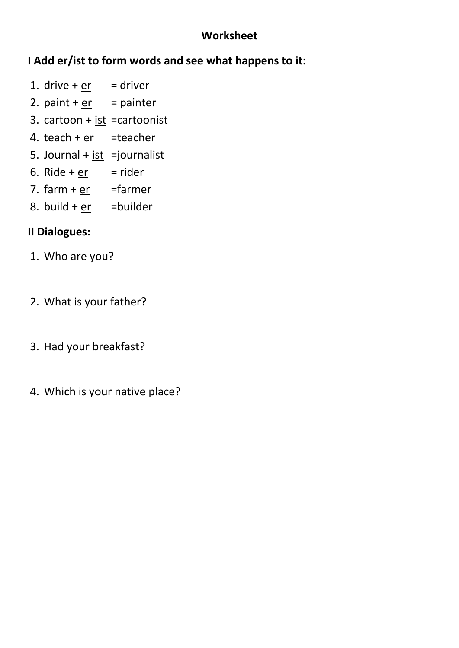### **Worksheet**

# **I Add er/ist to form words and see what happens to it:**

- 1. drive +  $er =$  driver
- 2. paint +  $er =$  painter
- 3. cartoon +  $\underline{\text{ist}}$  =cartoonist
- 4. teach +  $er$  =teacher
- 5. Journal + ist =journalist
- 6. Ride +  $er = rider$
- 7.  $farm + er = farmer$
- 8. build + er =builder

## **II Dialogues:**

- 1. Who are you?
- 2. What is your father?
- 3. Had your breakfast?
- 4. Which is your native place?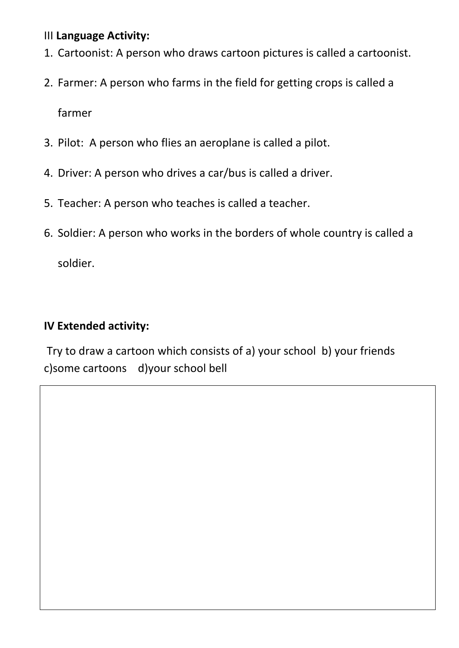#### III **Language Activity:**

- 1. Cartoonist: A person who draws cartoon pictures is called a cartoonist.
- 2. Farmer: A person who farms in the field for getting crops is called a

farmer

- 3. Pilot: A person who flies an aeroplane is called a pilot.
- 4. Driver: A person who drives a car/bus is called a driver.
- 5. Teacher: A person who teaches is called a teacher.
- 6. Soldier: A person who works in the borders of whole country is called a soldier.

# **IV Extended activity:**

Try to draw a cartoon which consists of a) your school b) your friends c)some cartoons d)your school bell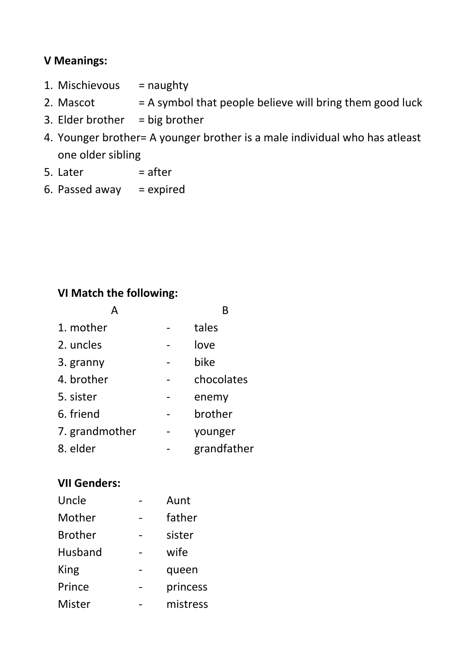## **V Meanings:**

- 1. Mischievous  $=$  naughty
- 2. Mascot  $= A$  symbol that people believe will bring them good luck
- 3. Elder brother  $=$  big brother
- 4. Younger brother= A younger brother is a male individual who has atleast one older sibling
- $5.$  Later  $=$  after
- 6. Passed away  $=$  expired

#### **VI Match the following:**

| А              | R           |
|----------------|-------------|
| 1. mother      | tales       |
| 2. uncles      | love        |
| 3. granny      | bike        |
| 4. brother     | chocolates  |
| 5. sister      | enemy       |
| 6. friend      | brother     |
| 7. grandmother | younger     |
| 8. elder       | grandfather |

#### **VII Genders:**

| Uncle          | Aunt     |
|----------------|----------|
| Mother         | father   |
| <b>Brother</b> | sister   |
| <b>Husband</b> | wife     |
| King           | queen    |
| Prince         | princess |
| Mister         | mistress |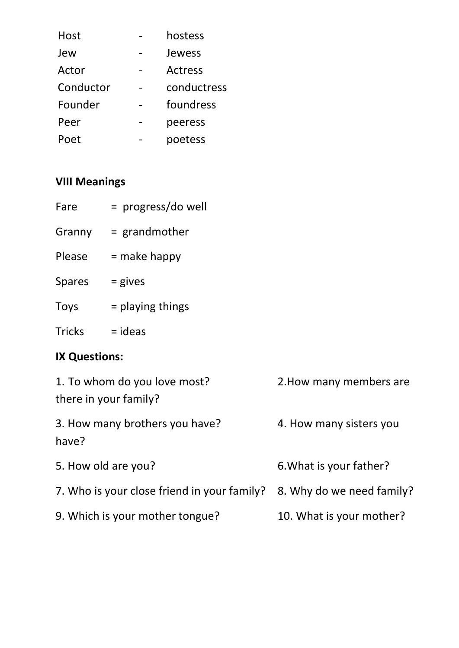| Host      | hostess     |
|-----------|-------------|
| Jew       | Jewess      |
| Actor     | Actress     |
| Conductor | conductress |
| Founder   | foundress   |
| Peer      | peeress     |
| Poet      | poetess     |

# **VIII Meanings**

| Fare   | = progress/do well |
|--------|--------------------|
| Granny | = grandmother      |
| Please | = make happy       |
| Spares | $=$ gives          |
| Toys   | = playing things   |
| Tricks | = ideas            |

# **IX Questions:**

| 1. To whom do you love most?<br>there in your family? | 2. How many members are   |
|-------------------------------------------------------|---------------------------|
| 3. How many brothers you have?<br>have?               | 4. How many sisters you   |
| 5. How old are you?                                   | 6. What is your father?   |
| 7. Who is your close friend in your family?           | 8. Why do we need family? |
| 9. Which is your mother tongue?                       | 10. What is your mother?  |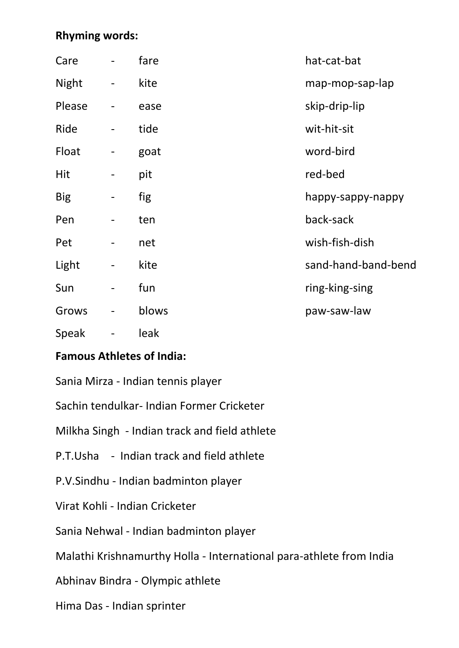#### **Rhyming words:**

| Care         |                              | fare  | hat-cat-bat         |
|--------------|------------------------------|-------|---------------------|
| <b>Night</b> | $\overline{\phantom{0}}$     | kite  | map-mop-sap-lap     |
| Please       |                              | ease  | skip-drip-lip       |
| Ride         | $\overline{\phantom{0}}$     | tide  | wit-hit-sit         |
| Float        | $\blacksquare$               | goat  | word-bird           |
| Hit          | -                            | pit   | red-bed             |
| <b>Big</b>   | -                            | fig   | happy-sappy-nappy   |
| Pen          | $\overline{\phantom{a}}$     | ten   | back-sack           |
| Pet          | -                            | net   | wish-fish-dish      |
| Light        | $\overline{\phantom{0}}$     | kite  | sand-hand-band-bend |
| Sun          | $\qquad \qquad \blacksquare$ | fun   | ring-king-sing      |
| Grows        | -                            | blows | paw-saw-law         |
| Speak        |                              | leak  |                     |

# **Famous Athletes of India:**

Sania Mirza - Indian tennis player Sachin tendulkar- Indian Former Cricketer Milkha Singh - Indian track and field athlete P.T.Usha - Indian track and field athlete P.V.Sindhu - Indian badminton player Virat Kohli - Indian Cricketer Sania Nehwal - Indian badminton player Malathi Krishnamurthy Holla - International para-athlete from India Abhinav Bindra - Olympic athlete Hima Das - Indian sprinter